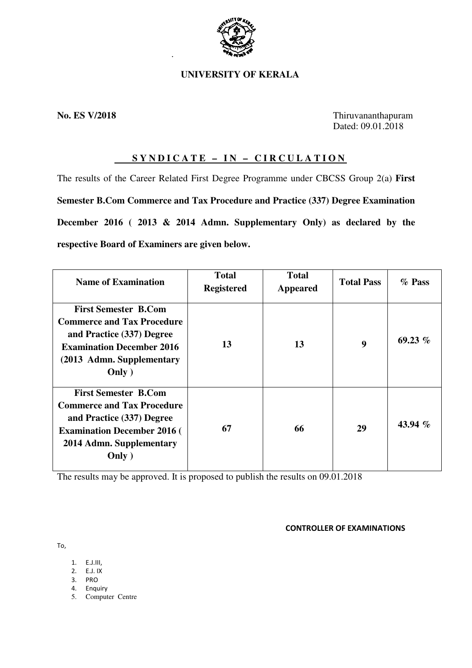

.

# **UNIVERSITY OF KERALA**

**No. ES V/2018** Thiruvananthapuram Dated: 09.01.2018

# **SYNDICATE – IN – CIRCULATION**

The results of the Career Related First Degree Programme under CBCSS Group 2(a) **First Semester B.Com Commerce and Tax Procedure and Practice (337) Degree Examination December 2016 ( 2013 & 2014 Admn. Supplementary Only) as declared by the respective Board of Examiners are given below.** 

| <b>Name of Examination</b>                                                                                                                                               | <b>Total</b><br><b>Registered</b> | <b>Total</b><br><b>Appeared</b> | <b>Total Pass</b> | $\%$ Pass |
|--------------------------------------------------------------------------------------------------------------------------------------------------------------------------|-----------------------------------|---------------------------------|-------------------|-----------|
| <b>First Semester B.Com</b><br><b>Commerce and Tax Procedure</b><br>and Practice (337) Degree<br><b>Examination December 2016</b><br>(2013 Admn. Supplementary<br>Only ) | 13                                | 13                              | 9                 | 69.23 $%$ |
| <b>First Semester B.Com</b><br><b>Commerce and Tax Procedure</b><br>and Practice (337) Degree<br><b>Examination December 2016 (</b><br>2014 Admn. Supplementary<br>Only) | 67                                | 66                              | 29                | 43.94 $%$ |

The results may be approved. It is proposed to publish the results on 09.01.2018

CONTROLLER OF EXAMINATIONS

To,

- 1. E.J.III,
- 2. E.J. IX
- 3. PRO
- 4. Enquiry 5. Computer Centre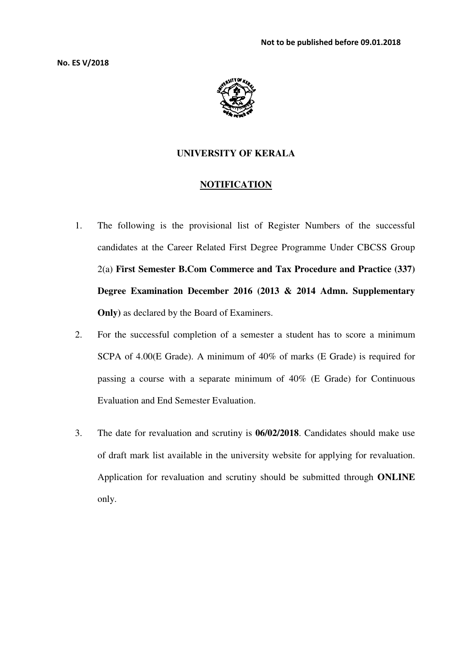No. ES V/2018



# **UNIVERSITY OF KERALA**

### **NOTIFICATION**

- 1. The following is the provisional list of Register Numbers of the successful candidates at the Career Related First Degree Programme Under CBCSS Group 2(a) **First Semester B.Com Commerce and Tax Procedure and Practice (337) Degree Examination December 2016 (2013 & 2014 Admn. Supplementary Only)** as declared by the Board of Examiners.
- 2. For the successful completion of a semester a student has to score a minimum SCPA of 4.00(E Grade). A minimum of 40% of marks (E Grade) is required for passing a course with a separate minimum of 40% (E Grade) for Continuous Evaluation and End Semester Evaluation.
- 3. The date for revaluation and scrutiny is **06/02/2018**. Candidates should make use of draft mark list available in the university website for applying for revaluation. Application for revaluation and scrutiny should be submitted through **ONLINE**  only.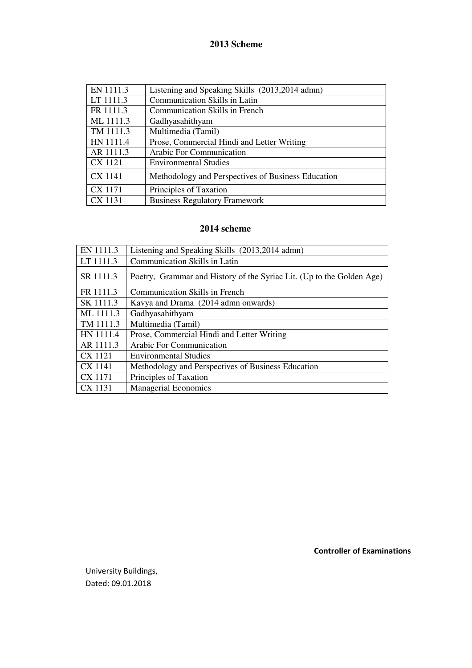# **2013 Scheme**

| EN 1111.3      | Listening and Speaking Skills (2013,2014 admn)     |
|----------------|----------------------------------------------------|
| LT 1111.3      | Communication Skills in Latin                      |
| FR 1111.3      | <b>Communication Skills in French</b>              |
| ML 1111.3      | Gadhyasahithyam                                    |
| TM 1111.3      | Multimedia (Tamil)                                 |
| HN 1111.4      | Prose, Commercial Hindi and Letter Writing         |
| AR 1111.3      | Arabic For Communication                           |
| <b>CX 1121</b> | <b>Environmental Studies</b>                       |
| <b>CX 1141</b> | Methodology and Perspectives of Business Education |
| <b>CX 1171</b> | Principles of Taxation                             |
| <b>CX 1131</b> | <b>Business Regulatory Framework</b>               |

# **2014 scheme**

| EN 1111.3 | Listening and Speaking Skills (2013,2014 admn)                        |
|-----------|-----------------------------------------------------------------------|
| LT 1111.3 | <b>Communication Skills in Latin</b>                                  |
| SR 1111.3 | Poetry, Grammar and History of the Syriac Lit. (Up to the Golden Age) |
| FR 1111.3 | <b>Communication Skills in French</b>                                 |
| SK 1111.3 | Kavya and Drama (2014 admn onwards)                                   |
| ML 1111.3 | Gadhyasahithyam                                                       |
| TM 1111.3 | Multimedia (Tamil)                                                    |
| HN 1111.4 | Prose, Commercial Hindi and Letter Writing                            |
| AR 1111.3 | <b>Arabic For Communication</b>                                       |
| CX 1121   | <b>Environmental Studies</b>                                          |
| CX 1141   | Methodology and Perspectives of Business Education                    |
| CX 1171   | Principles of Taxation                                                |
| CX 1131   | <b>Managerial Economics</b>                                           |

University Buildings, Dated: 09.01.2018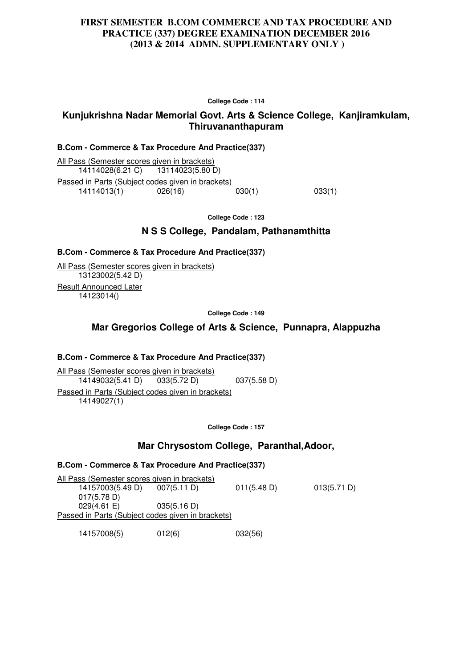## **FIRST SEMESTER B.COM COMMERCE AND TAX PROCEDURE AND PRACTICE (337) DEGREE EXAMINATION DECEMBER 2016 (2013 & 2014 ADMN. SUPPLEMENTARY ONLY )**

**College Code : 114** 

## **Kunjukrishna Nadar Memorial Govt. Arts & Science College, Kanjiramkulam, Thiruvananthapuram**

### **B.Com - Commerce & Tax Procedure And Practice(337)**

All Pass (Semester scores given in brackets) 14114028(6.21 C) 13114023(5.80 D) Passed in Parts (Subject codes given in brackets)<br>14114013(1) 026(16) 030(1) 14114013(1) 026(16) 030(1) 033(1)

**College Code : 123** 

## **N S S College, Pandalam, Pathanamthitta**

### **B.Com - Commerce & Tax Procedure And Practice(337)**

All Pass (Semester scores given in brackets) 13123002(5.42 D) Result Announced Later 14123014()

**College Code : 149** 

# **Mar Gregorios College of Arts & Science, Punnapra, Alappuzha**

## **B.Com - Commerce & Tax Procedure And Practice(337)**

All Pass (Semester scores given in brackets) 14149032(5.41 D) 033(5.72 D) 037(5.58 D) Passed in Parts (Subject codes given in brackets) 14149027(1)

**College Code : 157**

## **Mar Chrysostom College, Paranthal,Adoor,**

### **B.Com - Commerce & Tax Procedure And Practice(337)**

All Pass (Semester scores given in brackets) 14157003(5.49 D) 007(5.11 D) 011(5.48 D) 013(5.71 D) 017(5.78 D) 029(4.61 E) 035(5.16 D) Passed in Parts (Subject codes given in brackets)

14157008(5) 012(6) 032(56)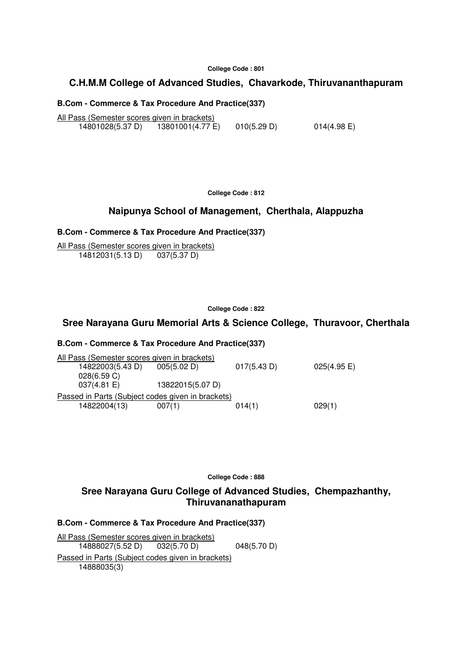#### **College Code : 801**

## **C.H.M.M College of Advanced Studies, Chavarkode, Thiruvananthapuram**

### **B.Com - Commerce & Tax Procedure And Practice(337)**

All Pass (Semester scores given in brackets) 14801028(5.37 D) 13801001(4.77 E) 010(5.29 D) 014(4.98 E)

**College Code : 812**

## **Naipunya School of Management, Cherthala, Alappuzha**

### **B.Com - Commerce & Tax Procedure And Practice(337)**

All Pass (Semester scores given in brackets) 14812031(5.13 D) 037(5.37 D)

### **College Code : 822**

## **Sree Narayana Guru Memorial Arts & Science College, Thuravoor, Cherthala**

### **B.Com - Commerce & Tax Procedure And Practice(337)**

| All Pass (Semester scores given in brackets)      |                  |             |                |  |  |  |
|---------------------------------------------------|------------------|-------------|----------------|--|--|--|
| 14822003(5.43 D)                                  | 005(5.02 D)      | 017(5.43 D) | $025(4.95)$ E) |  |  |  |
| 028(6.59 C)                                       |                  |             |                |  |  |  |
| 037(4.81 E)                                       | 13822015(5.07 D) |             |                |  |  |  |
| Passed in Parts (Subject codes given in brackets) |                  |             |                |  |  |  |
| 14822004(13)                                      | 007(1)           | 014(1)      | 029(1)         |  |  |  |
|                                                   |                  |             |                |  |  |  |

**College Code : 888** 

## **Sree Narayana Guru College of Advanced Studies, Chempazhanthy, Thiruvananathapuram**

#### **B.Com - Commerce & Tax Procedure And Practice(337)**

All Pass (Semester scores given in brackets) 14888027(5.52 D) 032(5.70 D) 048(5.70 D) Passed in Parts (Subject codes given in brackets) 14888035(3)